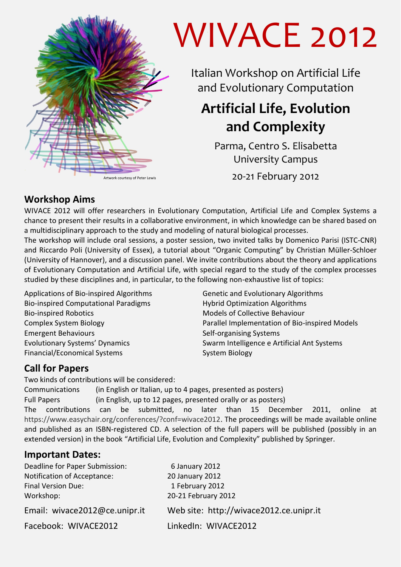

# WIVACE 2012

Italian Workshop on Artificial Life and Evolutionary Computation

# **Artificial Life, Evolution and Complexity**

Parma, Centro S. Elisabetta University Campus

Artwork courtesy of Peter Lewis 20 -21 February 2012

### **Workshop Aims**

WIVACE 2012 will offer researchers in Evolutionary Computation, Artificial Life and Complex Systems a chance to present their results in a collaborative environment, in which knowledge can be shared based on a multidisciplinary approach to the study and modeling of natural biological processes.

The workshop will include oral sessions, a poster session, two invited talks by Domenico Parisi (ISTC-CNR) and Riccardo Poli (University of Essex), a tutorial about "Organic Computing" by Christian Müller-Schloer (University of Hannover), and a discussion panel. We invite contributions about the theory and applications of Evolutionary Computation and Artificial Life, with special regard to the study of the complex processes studied by these disciplines and, in particular, to the following non-exhaustive list of topics:

Applications of Bio-inspired Algorithms Bio-inspired Computational Paradigms Bio-inspired Robotics Complex System Biology Emergent Behaviours Evolutionary Systems' Dynamics Financial/Economical Systems

Genetic and Evolutionary Algorithms Hybrid Optimization Algorithms Models of Collective Behaviour Parallel Implementation of Bio-inspired Models Self-organising Systems Swarm Intelligence e Artificial Ant Systems System Biology

## **Call for Papers**

Two kinds of contributions will be considered:

Communications (in English or Italian, up to 4 pages, presented as posters) Full Papers (in English, up to 12 pages, presented orally or as posters) The contributions can be submitted, no later than 15 December 2011, online at https://www.easychair.org/conferences/?conf=wivace2012. The proceedings will be made available online and published as an ISBN-registered CD. A selection of the full papers will be published (possibly in an extended version) in the book "Artificial Life, Evolution and Complexity" published by Springer.

#### **Important Dates:**

| Deadline for Paper Submission: | 6 January 2012                          |
|--------------------------------|-----------------------------------------|
| Notification of Acceptance:    | 20 January 2012                         |
| <b>Final Version Due:</b>      | 1 February 2012                         |
| Workshop:                      | 20-21 February 2012                     |
| Email: wivace2012@ce.unipr.it  | Web site: http://wivace2012.ce.unipr.it |
| Facebook: WIVACE2012           | LinkedIn: WIVACE2012                    |